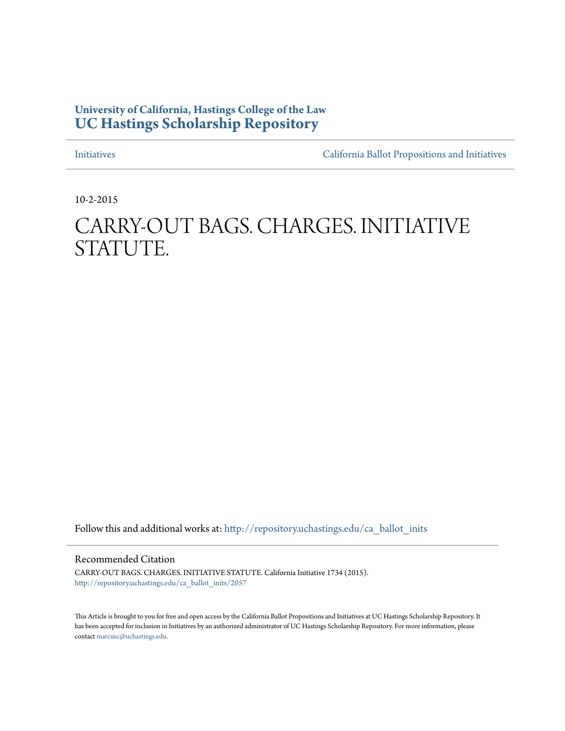# **University of California, Hastings College of the Law [UC Hastings Scholarship Repository](http://repository.uchastings.edu?utm_source=repository.uchastings.edu%2Fca_ballot_inits%2F2057&utm_medium=PDF&utm_campaign=PDFCoverPages)**

[Initiatives](http://repository.uchastings.edu/ca_ballot_inits?utm_source=repository.uchastings.edu%2Fca_ballot_inits%2F2057&utm_medium=PDF&utm_campaign=PDFCoverPages) [California Ballot Propositions and Initiatives](http://repository.uchastings.edu/ca_ballots?utm_source=repository.uchastings.edu%2Fca_ballot_inits%2F2057&utm_medium=PDF&utm_campaign=PDFCoverPages)

10-2-2015

# CARRY-OUT BAGS. CHARGES. INITIATIVE STATUTE.

Follow this and additional works at: [http://repository.uchastings.edu/ca\\_ballot\\_inits](http://repository.uchastings.edu/ca_ballot_inits?utm_source=repository.uchastings.edu%2Fca_ballot_inits%2F2057&utm_medium=PDF&utm_campaign=PDFCoverPages)

Recommended Citation

CARRY-OUT BAGS. CHARGES. INITIATIVE STATUTE. California Initiative 1734 (2015). [http://repository.uchastings.edu/ca\\_ballot\\_inits/2057](http://repository.uchastings.edu/ca_ballot_inits/2057?utm_source=repository.uchastings.edu%2Fca_ballot_inits%2F2057&utm_medium=PDF&utm_campaign=PDFCoverPages)

This Article is brought to you for free and open access by the California Ballot Propositions and Initiatives at UC Hastings Scholarship Repository. It has been accepted for inclusion in Initiatives by an authorized administrator of UC Hastings Scholarship Repository. For more information, please contact [marcusc@uchastings.edu](mailto:marcusc@uchastings.edu).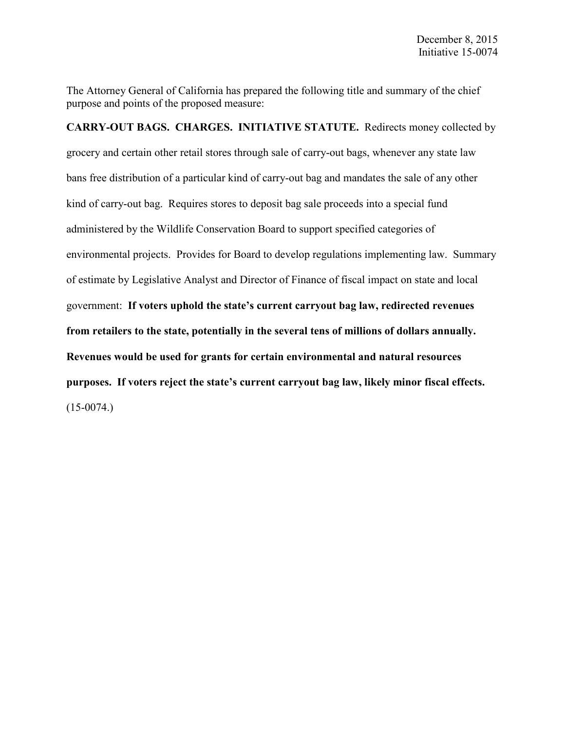The Attorney General of California has prepared the following title and summary of the chief purpose and points of the proposed measure:

**CARRY-OUT BAGS. CHARGES. INITIATIVE STATUTE.** Redirects money collected by grocery and certain other retail stores through sale of carry-out bags, whenever any state law bans free distribution of a particular kind of carry-out bag and mandates the sale of any other kind of carry-out bag. Requires stores to deposit bag sale proceeds into a special fund administered by the Wildlife Conservation Board to support specified categories of environmental projects. Provides for Board to develop regulations implementing law. Summary of estimate by Legislative Analyst and Director of Finance of fiscal impact on state and local government: **If voters uphold the state's current carryout bag law, redirected revenues from retailers to the state, potentially in the several tens of millions of dollars annually. Revenues would be used for grants for certain environmental and natural resources purposes. If voters reject the state's current carryout bag law, likely minor fiscal effects.**  $(15-0074)$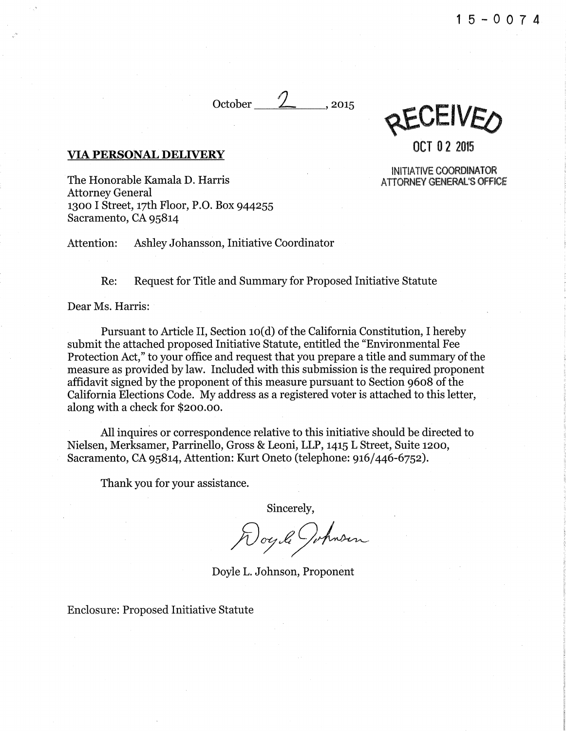October $\angle$ , 2015

REAMACO

OCT 0 2 2015

INITIATIVE COORDINATOR ATTORNEY GENERAL'S OFFICE

## VIA PERSONAL DELIVERY

The Honorable Kamala D. Harris Attorney General 1300 I Street, 17th Floor, P.O. Box 944255 Sacramento, CA 95814

Attention: Ashley Johansson, Initiative Coordinator

Re: Request for Title and Summary for Proposed Initiative Statute

Dear Ms. Harris:

Pursuant to Article II, Section 10(d) of the California Constitution. I hereby submit the attached proposed Initiative Statute, entitled the "Environmental Fee Protection Act," to your office and request that you prepare a title and summary of the measure as provided by law. Included with this submission is the required proponent affidavit signed by the proponent of this measure pursuant to Section 9608 of the California Elections Code. My address as a registered voter is attached to this letter, along with a check for \$200.00.

All inquires or correspondence relative to this initiative should be directed to Nielsen, Merksamer, Parrinello, Gross & Leoni, LLP, 1415 L Street, Suite 1200, Sacramento, CA 95814, Attention: Kurt Oneto (telephone: 916/446-6752).

Thank you for your assistance.

Sincerely,

Doyle L. Johnson, Proponent

Enclosure: Proposed Initiative Statute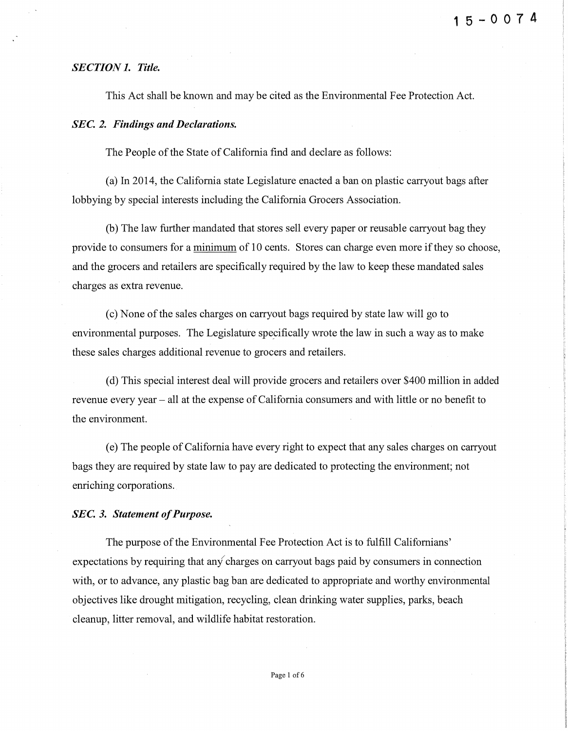### *SECTION 1. Title.*

This Act shall be known and may be cited as the Environmental Fee Protection Act.

#### *SEC. 2. Findings and Declarations.*

The People of the State of California find and declare as follows:

(a) In 2014, the California state Legislature enacted a ban on plastic carryout bags after lobbying by special interests including the California Grocers Association.

(b) The law further mandated that stores sell every paper or reusable carryout bag they provide to consumers for a minimum of 10 cents. Stores can charge even more if they so choose, and the grocers and retailers are specifically required by the law to keep these mandated sales charges as extra revenue.

(c) None of the sales charges on carryout bags required by state law will go to environmental purposes. The Legislature specifically wrote the law in such a way as to make these sales charges additional revenue to grocers and retailers.

(d) This special interest deal will provide grocers and retailers over \$400 million in added revenue every year- all at the expense of California consumers and with little or no benefit to the environment.

(e) The people of California have every right to expect that any sales charges on carryout bags they are required by state law to pay are dedicated to protecting the environment; not enriching corporations.

#### *SEC. 3. Statement of Purpose.*

The purpose of the Environmental Fee Protection Act is to fulfill Californians' expectations by requiring that any charges on carryout bags paid by consumers in connection with, or to advance, any plastic bag ban are dedicated to appropriate and worthy environmental objectives like drought mitigation, recycling, clean drinking water supplies, parks, beach cleanup, litter removal, and wildlife habitat restoration.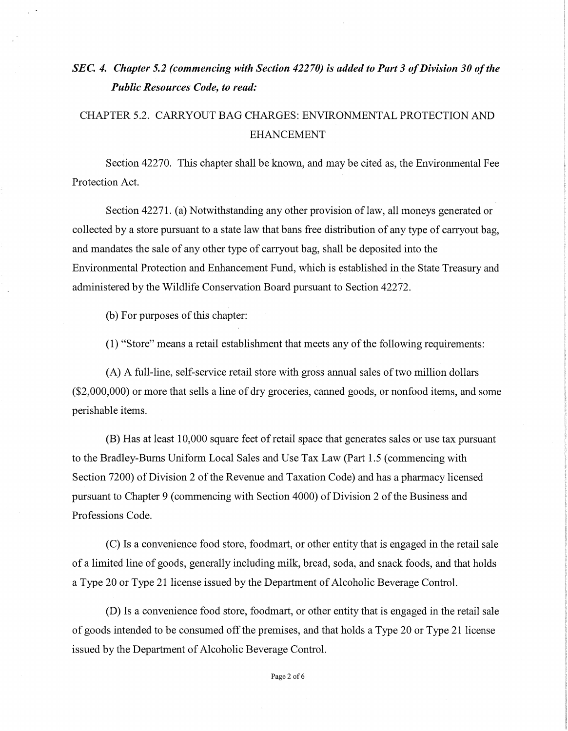# *SEC. 4. Chapter 5.2 (commencing with Section 42270) is added to Part 3 of Division 30 of the Public Resources Code, to read:*

# CHAPTER 5.2. CARRYOUT BAG CHARGES: ENVIRONMENTAL PROTECTION AND EHANCEMENT

Section 42270. This chapter shall be known, and may be cited as, the Environmental Fee Protection Act.

Section 42271. (a) Notwithstanding any other provision of law, all moneys generated or collected by a store pursuant to a state law that bans free distribution of any type of carryout bag, and mandates the sale of any other type of carryout bag, shall be deposited into the Environmental Protection and Enhancement Fund, which is established in the State Treasury and administered by the Wildlife Conservation Board pursuant to Section 42272.

(b) For purposes of this chapter:

(1) "Store" means a retail establishment that meets any of the following requirements:

(A) A full-line, self-service retail store with gross annual sales of two million dollars (\$2,000,000) or more that sells a line of dry groceries, canned goods, or nonfood items, and some perishable items.

(B) Has at least 10,000 square feet of retail space that generates sales or use tax pursuant to the Bradley-Bums Uniform Local Sales and Use Tax Law (Part 1.5 (commencing with Section 7200) of Division 2 of the Revenue and Taxation Code) and has a pharmacy licensed pursuant to Chapter 9 (commencing with Section 4000) of Division 2 ofthe Business and Professions Code.

(C) Is a convenience food store, foodmart, or other entity that is engaged in the retail sale of a limited line of goods, generally including milk, bread, soda, and snack foods, and that holds a Type 20 or Type 21 license issued by the Department of Alcoholic Beverage Control.

(D) Is a convenience food store, foodmart, or other entity that is engaged in the retail sale of goods intended to be consumed off the premises, and that holds a Type 20 or Type 21 license issued by the Department of Alcoholic Beverage Control.

Page 2 of 6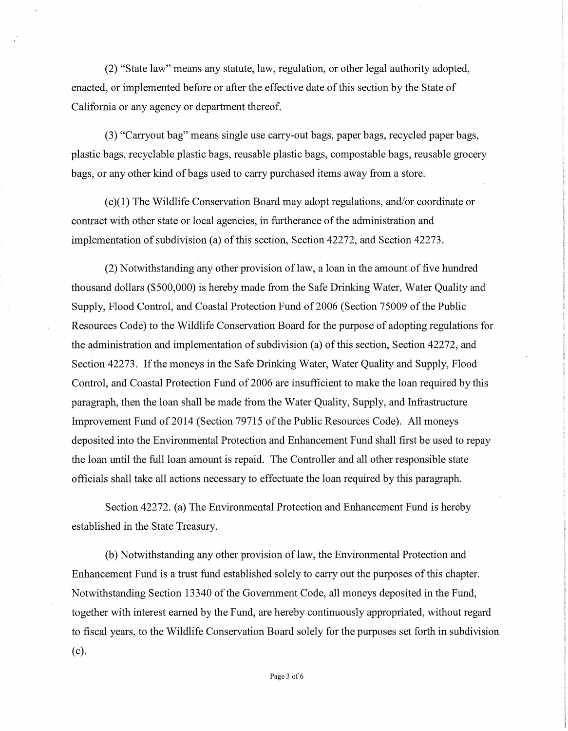(2) "State law" means any statute, law, regulation, or other legal authority adopted, enacted, or implemented before or after the effective date of this section by the State of California or any agency or department thereof.

(3) "Carryout bag" means single use carry-out bags, paper bags, recycled paper bags, plastic bags, recyclable plastic bags, reusable plastic bags, compostable bags, reusable grocery bags, or any other kind of bags used to carry purchased items away from a store.

(c)(1) The Wildlife Conservation Board may adopt regulations, and/or coordinate or contract with other state or local agencies, in furtherance of the administration and implementation of subdivision (a) of this section, Section 42272, and Section 42273.

(2) Notwithstanding any other provision oflaw, a loan in the amount of five hundred thousand dollars (\$500,000) is hereby made from the Safe Drinking Water, Water Quality and Supply, Flood Control, and Coastal Protection Fund of2006 (Section 75009 of the Public Resources Code) to the Wildlife Conservation Board for the purpose of adopting regulations for the administration and implementation of subdivision (a) of this section, Section 42272, and Section 42273. If the moneys in the Safe Drinking Water, Water Quality and Supply, Flood Control, and Coastal Protection Fund of 2006 are insufficient to make the loan required by this paragraph, then the loan shall be made from the Water Quality, Supply, and Infrastructure Improvement Fund of2014 (Section 79715 of the Public Resources Code). All moneys deposited into the Environmental Protection and Enhancement Fund shall first be used to repay the loan until the full loan amount is repaid. The Controller and all other responsible state officials shall take all actions necessary to effectuate the loan required by this paragraph.

Section 42272. (a) The Environmental Protection and Enhancement Fund is hereby established in the State Treasury.

(b) Notwithstanding any other provision of law, the Environmental Protection and Enhancement Fund is a trust fund established solely to carry out the purposes of this chapter. Notwithstanding Section 13340 of the Government Code, all moneys deposited in the Fund, together with interest earned by the Fund, are hereby continuously appropriated, without regard to fiscal years, to the Wildlife Conservation Board solely for the purposes set forth in subdivision (c).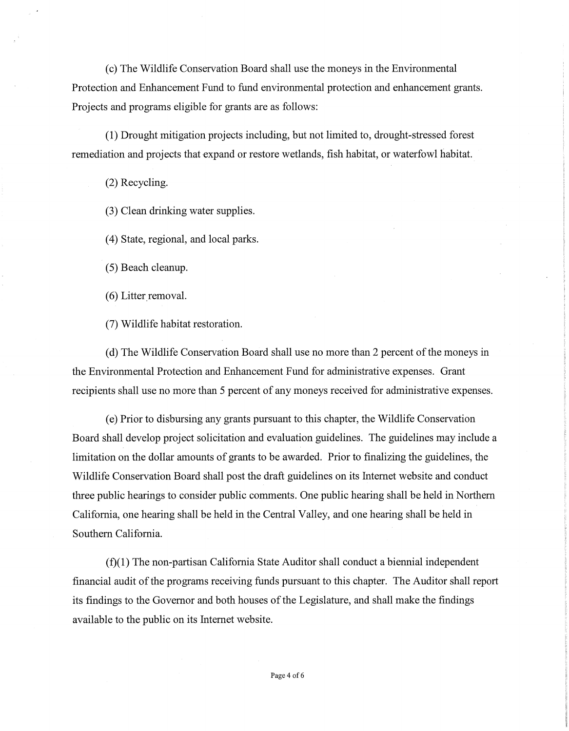(c) The Wildlife Conservation Board shall use the moneys in the Environmental Protection and Enhancement Fund to fund environmental protection and enhancement grants. Projects and programs eligible for grants are as follows:

(1) Drought mitigation projects including, but not limited to, drought-stressed forest remediation and projects that expand or restore wetlands, fish habitat, or waterfowl habitat.

(2) Recycling.

(3) Clean drinking water supplies.

( 4) State, regional, and local parks.

(5) Beach cleanup.

 $(6)$  Litter removal.

(7) Wildlife habitat restoration.

(d) The Wildlife Conservation Board shall use no more than 2 percent of the moneys in the Environmental Protection and Enhancement Fund for administrative expenses. Grant recipients shall use no more than 5 percent of any moneys received for administrative expenses.

(e) Prior to disbursing any grants pursuant to this chapter, the Wildlife Conservation Board shall develop project solicitation and evaluation guidelines. The guidelines may include a limitation on the dollar amounts of grants to be awarded. Prior to finalizing the guidelines, the Wildlife Conservation Board shall post the draft guidelines on its Internet website and conduct three public hearings to consider public comments. One public hearing shall be held in Northern California, one hearing shall be held in the Central Valley, and one hearing shall be held in Southern California.

(f)(l) The non-partisan California State Auditor shall conduct a biennial independent financial audit of the programs receiving funds pursuant to this chapter. The Auditor shall report its findings to the Governor and both houses of the Legislature, and shall make the findings available to the public on its Internet website.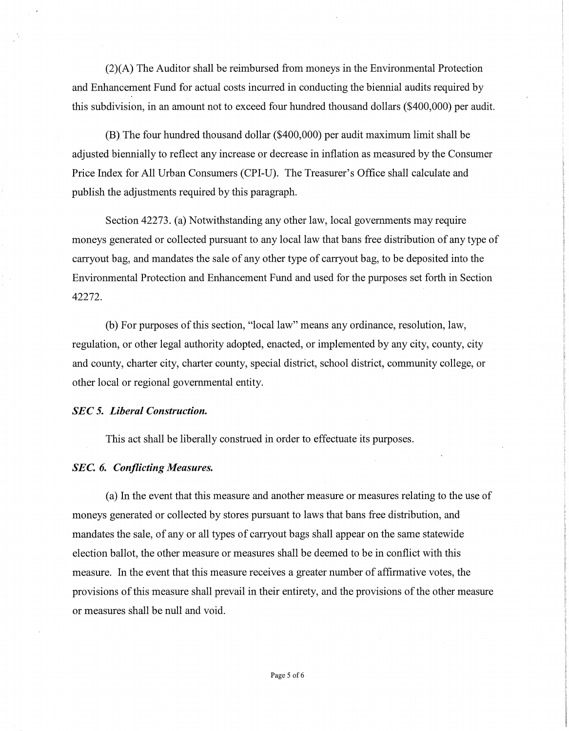(2)(A) The Auditor shall be reimbursed from moneys in the Environmental Protection and Enhancement Fund for actual costs incurred in conducting the biennial audits required by this subdivision, in an amount not to exceed four hundred thousand dollars (\$400,000) per audit.

(B) The four hundred thousand dollar (\$400,000) per audit maximum limit shall be adjusted biennially to reflect any increase or decrease in inflation as measured by the Consumer Price Index for All Urban Consumers (CPI-U). The Treasurer's Office shall calculate and publish the adjustments required by this paragraph.

Section 42273. (a) Notwithstanding any other law, local governments may require moneys generated or collected pursuant to any local law that bans free distribution of any type of carryout bag, and mandates the sale of any other type of carryout bag, to be deposited into the Environmental Protection and Enhancement Fund and used for the purposes set forth in Section 42272.

(b) For purposes of this section, "local law" means any ordinance, resolution, law, regulation, or other legal authority adopted, enacted, or implemented by any city, county, city and county, charter city, charter county, special district, school district, community college, or other local or regional governmental entity.

#### *SEC* 5. *Liberal Construction.*

This act shall be liberally construed in order to effectuate its purposes.

### *SEC. 6. Conflicting Measures.*

(a) In the event that this measure and another measure or measures relating to the use of moneys generated or collected by stores pursuant to laws that bans free distribution, and mandates the sale, of any or all types of carryout bags shall appear on the same statewide election ballot, the other measure or measures shall be deemed to be in conflict with this measure. In the event that this measure receives a greater number of affirmative votes, the provisions of this measure shall prevail in their entirety, and the provisions of the other measure or measures shall be null and void.